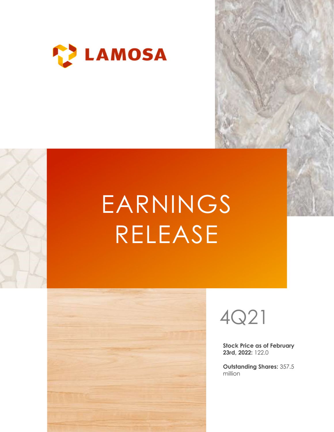

# EARNINGS RELEASE





Stock Price as of February 23rd, 2022: 122.0

Outstanding Shares: 357.5 million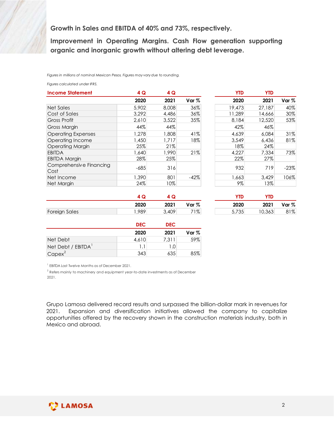| Growth in Sales and EBITDA of 40% and 73%, respectively.<br>Improvement in Operating Margins. Cash Flow generation supporting<br>organic and inorganic growth without altering debt leverage. |               |       |        |            |            |        |
|-----------------------------------------------------------------------------------------------------------------------------------------------------------------------------------------------|---------------|-------|--------|------------|------------|--------|
|                                                                                                                                                                                               |               |       |        |            |            |        |
|                                                                                                                                                                                               |               |       |        |            |            |        |
|                                                                                                                                                                                               |               |       |        |            |            |        |
|                                                                                                                                                                                               |               |       |        |            |            |        |
|                                                                                                                                                                                               |               |       |        |            |            |        |
|                                                                                                                                                                                               |               |       |        |            |            |        |
|                                                                                                                                                                                               |               |       |        |            |            |        |
|                                                                                                                                                                                               |               |       |        |            |            |        |
|                                                                                                                                                                                               |               |       |        |            |            |        |
|                                                                                                                                                                                               |               |       |        |            |            |        |
|                                                                                                                                                                                               |               |       |        |            |            |        |
| Figures in millions of nominal Mexican Pesos. Figures may vary due to rounding.                                                                                                               |               |       |        |            |            |        |
| Figures calculated under IFRS.                                                                                                                                                                |               |       |        |            |            |        |
| <b>Income Statement</b>                                                                                                                                                                       | 4 Q           | 4Q    |        | <b>YTD</b> | <b>YTD</b> |        |
|                                                                                                                                                                                               | 2020          | 2021  | Var %  | 2020       | 2021       | Var %  |
| <b>Net Sales</b>                                                                                                                                                                              | 5,902         | 8,008 | 36%    | 19,473     | 27,187     | 40%    |
| Cost of Sales                                                                                                                                                                                 | 3,292         | 4,486 | 36%    | 11,289     | 14,666     | 30%    |
| <b>Gross Profit</b>                                                                                                                                                                           | 2,610         | 3,522 | 35%    | 8,184      | 12,520     | 53%    |
| Gross Margin                                                                                                                                                                                  | 44%           | 44%   |        | 42%        | 46%        |        |
| <b>Operating Expenses</b>                                                                                                                                                                     | 1,278         | 1,808 | 41%    | 4,639      | 6,084      | 31%    |
| Operating Income                                                                                                                                                                              | 1,450         | 1,717 | 18%    | 3,549      | 6,436      | 81%    |
|                                                                                                                                                                                               | 25%           | 21%   |        | 18%        | 24%        |        |
|                                                                                                                                                                                               | 1,640         | 1,990 | 21%    | 4,227      | 7,334      | 73%    |
| <b>Operating Margin</b>                                                                                                                                                                       |               | 25%   |        | 22%        | 27%        |        |
| <b>EBITDA</b>                                                                                                                                                                                 |               |       |        | 932        | 719        | $-23%$ |
| <b>EBITDA Margin</b><br>Comprehensive Financing                                                                                                                                               | 28%<br>$-685$ | 316   |        |            | 3,429      | 106%   |
| Cost                                                                                                                                                                                          |               |       |        |            |            |        |
| Net Income                                                                                                                                                                                    | 1,390         | 801   | $-42%$ | 1,663      |            |        |
|                                                                                                                                                                                               | 24%           | 10%   |        | 9%         | 13%        |        |
| Net Margin                                                                                                                                                                                    | 4 Q           | 4 Q   |        | <b>YTD</b> | <b>YTD</b> |        |

|            |                                  | wth without altering debt leverage. | g Margins. Cash Flow generation supporting |            |        |
|------------|----------------------------------|-------------------------------------|--------------------------------------------|------------|--------|
| 4Q         | may vary due to rounding.<br>4 Q |                                     | <b>YTD</b>                                 | <b>YTD</b> |        |
| 2020       | 2021                             | Var %                               | 2020                                       | 2021       | Var %  |
| 5,902      | 8,008                            | 36%                                 | 19,473                                     | 27,187     | 40%    |
|            |                                  |                                     |                                            |            |        |
| 3,292      | 4,486                            | 36%                                 | 11,289                                     | 14,666     | 30%    |
| 2,610      | 3,522                            | 35%                                 | 8,184                                      | 12,520     | 53%    |
| 44%        | 44%                              |                                     | 42%                                        | 46%        |        |
| ,278       | 1,808                            | 41%                                 | 4,639                                      | 6,084      | 31%    |
| ,450       | 1,717                            | 18%                                 | 3,549                                      | 6,436      | 81%    |
| 25%        | 21%                              |                                     | 18%                                        | 24%        |        |
| ,640       | 1,990                            | 21%                                 | 4,227                                      | 7,334      | 73%    |
| 28%        | 25%                              |                                     | 22%                                        | 27%        |        |
| $-685$     | 316                              |                                     | 932                                        | 719        | $-23%$ |
|            |                                  |                                     |                                            |            |        |
| ,390       | 801                              | $-42%$                              | 1,663                                      | 3,429      | 106%   |
| 24%        | 10%                              |                                     | $9\%$                                      | 13%        |        |
| 4 Q        | 4 Q                              |                                     | <b>YTD</b>                                 | <b>YTD</b> |        |
| 2020       | 2021                             | Var %                               | 2020                                       | 2021       | Var %  |
| .989       | 3,409                            | 71%                                 | 5,735                                      | 10,363     | 81%    |
|            |                                  |                                     |                                            |            |        |
| <b>DEC</b> | <b>DEC</b>                       |                                     |                                            |            |        |
| 2020       | 2021                             | Var %                               |                                            |            |        |
| 4,610      | 7,311                            | 59%                                 |                                            |            |        |
| 1.1        | 1.0                              |                                     |                                            |            |        |
|            |                                  |                                     |                                            |            |        |
| 343        | 635                              | 85%                                 |                                            |            |        |

|                      |      |       |       | <b>YTD</b>       | <b>YTD</b> |       |
|----------------------|------|-------|-------|------------------|------------|-------|
|                      | 2020 | 2021  | Var % | 2020             | 2021       | Var % |
| <b>Foreign Sales</b> | ,989 | 3,409 | 71%   | $-725$<br>J,1 JJ | 10,363     | 81%   |

| YTD   | YTD    |       |
|-------|--------|-------|
| 2020  | 2021   | Var % |
| 5,735 | 10,363 | 81%   |

|                    | <b>DEC</b> | <b>DEC</b> |       |  |  |
|--------------------|------------|------------|-------|--|--|
|                    | 2020       | 2021       | Var % |  |  |
| Net Debt           | 4,610      | 7,311      | 59%   |  |  |
| Net Debt / EBITDA' | 1.1        | ⊹0. .      |       |  |  |
| $Capex^2$          | 343        | 635        | 85%   |  |  |

1 EBITDA Last Twelve Months as of December 2021.

<sup>2</sup> Refers mainly to machinery and equipment year-to-date investments as of December 2021.

Grupo Lamosa delivered record results and surpassed the billion-dollar mark in revenues for 2021. Expansion and diversification initiatives allowed the company to capitalize opportunities offered by the recovery shown in the construction materials industry, both in Mexico and abroad.

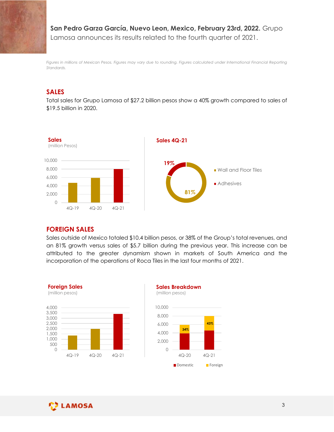San Pedro Garza García, Nuevo Leon, Mexico, February 23rd, 2022. Grupo Lamosa announces its results related to the fourth quarter of 2021.

Figures in millions of Mexican Pesos. Figures may vary due to rounding. Figures calculated under International Financial Reporting Standards.

# SALES

Total sales for Grupo Lamosa of \$27.2 billion pesos show a 40% growth compared to sales of \$19.5 billion in 2020.



#### FOREIGN SALES

Sales outside of Mexico totaled \$10.4 billion pesos, or 38% of the Group's total revenues, and an 81% growth versus sales of \$5.7 billion during the previous year. This increase can be attributed to the greater dynamism shown in markets of South America and the incorporation of the operations of Roca Tiles in the last four months of 2021.





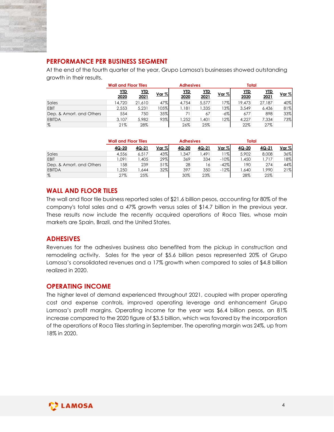

# PERFORMANCE PER BUSINESS SEGMENT

| <b>PERFORMANCE PER BUSINESS SEGMENT</b>                                                    |                             |              |            |                  |              |                  |              |              |              |
|--------------------------------------------------------------------------------------------|-----------------------------|--------------|------------|------------------|--------------|------------------|--------------|--------------|--------------|
| At the end of the fourth quarter of the year, Grupo Lamosa's businesses showed outstanding |                             |              |            |                  |              |                  |              |              |              |
| growth in their results.                                                                   |                             |              |            |                  |              |                  |              |              |              |
|                                                                                            |                             |              |            |                  |              |                  |              |              |              |
|                                                                                            |                             |              |            |                  |              |                  |              |              |              |
|                                                                                            | <b>Wall and Floor Tiles</b> |              |            | <b>Adhesives</b> |              |                  | <b>Total</b> |              |              |
|                                                                                            | YID                         | <b>YTD</b>   | Var %      | YID              | <b>YTD</b>   | Var %            | <b>YTD</b>   | <b>YTD</b>   |              |
|                                                                                            | 2020                        | 2021         |            | 2020             | 2021         |                  | 2020         | 2021         |              |
| Sales                                                                                      | 14,720                      | 21,610       | 47%        | 4,754            | 5,577        | 17%              | 19,473       | 27,187       | Var %<br>40% |
| EBIT                                                                                       | 2,553<br>554                | 5,231<br>750 | 105%       | 1,181<br>71      | 1,335<br>67  | 13%              | 3,549<br>677 | 6,436<br>898 |              |
| Dep. & Amort. and Others                                                                   |                             |              | 35%<br>93% |                  |              | $-6\%$           |              |              | 81%<br>33%   |
| <b>EBITDA</b><br>%                                                                         | 3,107<br>21%                | 5,982<br>28% |            | 1,252<br>26%     | 1,401<br>25% | 12%              | 4,227<br>22% | 7,334<br>27% | 73%          |
|                                                                                            |                             |              |            |                  |              |                  |              |              |              |
|                                                                                            |                             |              |            |                  |              |                  |              |              |              |
|                                                                                            | <b>Wall and Floor Tiles</b> |              |            | <b>Adhesives</b> |              |                  | <b>Total</b> |              |              |
|                                                                                            | 4Q-20                       | 4Q-21        | Var %      | 4Q-20            | $4Q-21$      | Var %            | $4Q-20$      | 4Q-21        | Var %        |
| Sales                                                                                      | 4,556                       | 6,517        | 43%        | 1,347            | 1,491        | 11%              | 5,902        | 8,008        | 36%          |
| EBIT                                                                                       | 1,091                       | 1,405        | 29%        | 369              | 334          | $-10%$           | 1,450        | 1,717        | 18%          |
| Dep. & Amort. and Others<br><b>EBITDA</b>                                                  | 158<br>1,250                | 239<br>1,644 | 51%<br>32% | 28<br>397        | 16<br>350    | $-42%$<br>$-12%$ | 190<br>1,640 | 274<br>1,990 | 44%<br>21%   |

|                          | <b>Wall and Floor Tiles</b> |       |       | <b>Adhesives</b> |              |          | Total |       |          |
|--------------------------|-----------------------------|-------|-------|------------------|--------------|----------|-------|-------|----------|
|                          | 4Q-20                       | 4Q-21 | Var % | 4Q-20            | <u>4Q-21</u> | $Var \%$ | 4Q-20 | 4Q-21 | $Var \%$ |
| Sales                    | 4,556                       | 6,517 | 43%   | ,347             | ,491         | ' 1%ı    | 5,902 | 8,008 | 36%      |
| EBIT                     | ,091                        | ,405  | 29%   | 369              | 334          | $-10%$   | .450  | ,717  | 18%      |
| Dep. & Amort, and Others | 158                         | 239   | 51%   | 28               | 16           | $-42%$   | 190   | 274   | 44%      |
| <b>EBITDA</b>            | ,250                        | ,644  | 32%   | 397              | 350          | $12\%$   | .640  | ,990  | 21%      |
| %                        | 27%                         | 25%   |       | 30%              | 23%          |          | 28%   | 25%   |          |

# WALL AND FLOOR TILES

The wall and floor tile business reported sales of \$21.6 billion pesos, accounting for 80% of the company's total sales and a 47% growth versus sales of \$14.7 billion in the previous year. These results now include the recently acquired operations of Roca Tiles, whose main markets are Spain, Brazil, and the United States.

# ADHESIVES

Revenues for the adhesives business also benefited from the pickup in construction and remodeling activity. Sales for the year of \$5.6 billion pesos represented 20% of Grupo Lamosa's consolidated revenues and a 17% growth when compared to sales of \$4.8 billion realized in 2020.

#### OPERATING INCOME

The higher level of demand experienced throughout 2021, coupled with proper operating cost and expense controls, improved operating leverage and enhancement Grupo Lamosa's profit margins. Operating income for the year was \$6.4 billion pesos, an 81% increase compared to the 2020 figure of \$3.5 billion, which was favored by the incorporation of the operations of Roca Tiles starting in September. The operating margin was 24%, up from 18% in 2020.

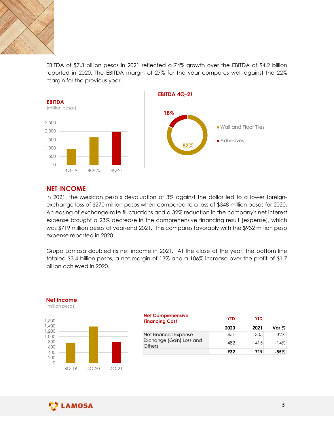

EBITDA of \$7.3 billion pesos in 2021 reflected a 74% growth over the EBITDA of \$4.2 billion reported in 2020. The EBITDA margin of 27% for the year compares well against the 22% margin for the previous year.



### NET INCOME

In 2021, the Mexican peso's devaluation of 3% against the dollar led to a lower foreignexchange loss of \$270 million pesos when compared to a loss of \$348 million pesos for 2020. An easing of exchange-rate fluctuations and a 32% reduction in the company's net interest expense brought a 23% decrease in the comprehensive financing result (expense), which was \$719 million pesos at year-end 2021. This compares favorably with the \$932 million peso expense reported in 2020. of 3% against the dollar led to a lower foreign-<br>
when compared to a loss of \$348 million pesos for 2020.<br>
ons and a 32% reduction in the company's net interest<br>
the comprehensive financing result (expense), which<br>
21. Thi 18 million pesos for 2020.<br>
18 million pesos for 2020.<br>
12 company's net interest<br>
12 result (expense), which<br>
12 the \$932 million peso<br>
12 eyear, the bottom line<br>
12 eyear, the bottom line<br>
12 eyear (12 The Section 12 ov SUD<br>  $\begin{array}{r} \begin{array}{r} \text{MSE} \\ \text{NSE} \end{array} \end{array}$ <br>
NET INCOME<br>
In 2021, the Mexican peso's devaluation of 3% against the dollar led<br>
exchange loss of \$270 million pesos when compared to a loss of \$348 m<br>
expense brought a 23% 0<br>  $\frac{1}{4Q-19}$ <br>  $\frac{4Q-20}{4Q-20}$ <br>  $\frac{4Q-20}{4Q-21}$ <br>
INET INCOME<br>
In 2021, the Mexican peso's devaluation of 3% against the dollar led to<br>
exchange loss of \$270 million pesos when compared to a loss of \$348 million<br>
ex

Grupo Lamosa doubled its net income in 2021. At the close of the year, the bottom line totaled \$3.4 billion pesos, a net margin of 13% and a 106% increase over the profit of \$1.7 billion achieved in 2020.



|                   | Lamosa doubled its net income in 2021. At the close of the year, the bottom line        |            |            |        |
|-------------------|-----------------------------------------------------------------------------------------|------------|------------|--------|
| achieved in 2020. | 1 \$3.4 billion pesos, a net margin of 13% and a 106% increase over the profit of \$1.7 |            |            |        |
|                   |                                                                                         |            |            |        |
| ome<br>esos)      |                                                                                         |            |            |        |
|                   | <b>Net Comprehensive</b><br><b>Financing Cost</b>                                       | <b>YTD</b> | <b>YTD</b> |        |
|                   |                                                                                         | 2020       | 2021       | Var %  |
|                   | Net Financial Expense                                                                   | 451        | 305        | $-32%$ |
|                   | Exchange (Gain) Loss and<br><b>Others</b>                                               | 482        | 415        | $-14%$ |
|                   |                                                                                         | 932        | 719        | $-85%$ |